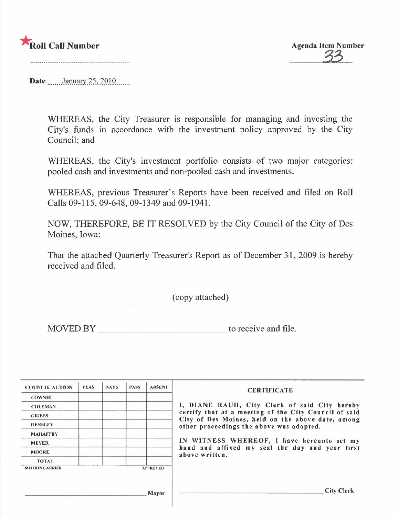

Date .......January 25, 2010 ......

WHEREAS, the City Treasurer is responsible for managing and investing the City's funds in accordance with the investment policy approved by the City Council; and

WHEREAS, the City's investment portfolio consists of two major categories: pooled cash and investments and non-pooled cash and investments.

WHEREAS, previous Treasurer's Reports have been received and filed on Roll Calls 09-115, 09-648, 09-1349 and 09-1941.

NOW, THEREFORE, BE IT RESOLVED by the City Council of the City of Des Moines, Iowa:

That the attached Quarterly Treasurer's Report as of December 31, 2009 is hereby received and filed.

(copy attached)

MOVED BY to receive and file.

| <b>COWNIE</b><br><b>COLEMAN</b><br><b>GRIESS</b><br><b>HENSLEY</b><br>other proceedings the above was adopted.<br><b>MAHAFFEY</b><br><b>MEYER</b><br><b>MOORE</b><br>above written.<br><b>TOTAL</b><br><b>APPROVED</b> | <b>COUNCIL ACTION</b> | <b>YEAS</b> | <b>NAYS</b> | <b>PASS</b> | <b>ABSENT</b> | <b>CERTIFICATE</b>                            |
|------------------------------------------------------------------------------------------------------------------------------------------------------------------------------------------------------------------------|-----------------------|-------------|-------------|-------------|---------------|-----------------------------------------------|
| certify that at a meeting of the City Council of said<br>City of Des Moines, held on the above date, among<br>hand and affixed my seal the day and year first                                                          |                       |             |             |             |               |                                               |
|                                                                                                                                                                                                                        |                       |             |             |             |               | I, DIANE RAUH, City Clerk of said City hereby |
|                                                                                                                                                                                                                        |                       |             |             |             |               |                                               |
|                                                                                                                                                                                                                        |                       |             |             |             |               |                                               |
|                                                                                                                                                                                                                        |                       |             |             |             |               |                                               |
|                                                                                                                                                                                                                        |                       |             |             |             |               | IN WITNESS WHEREOF, I have hereunto set my    |
|                                                                                                                                                                                                                        |                       |             |             |             |               |                                               |
|                                                                                                                                                                                                                        |                       |             |             |             |               |                                               |
|                                                                                                                                                                                                                        | <b>MOTION CARRIED</b> |             |             |             |               |                                               |
|                                                                                                                                                                                                                        |                       |             |             |             | Mayor         | City Clerk                                    |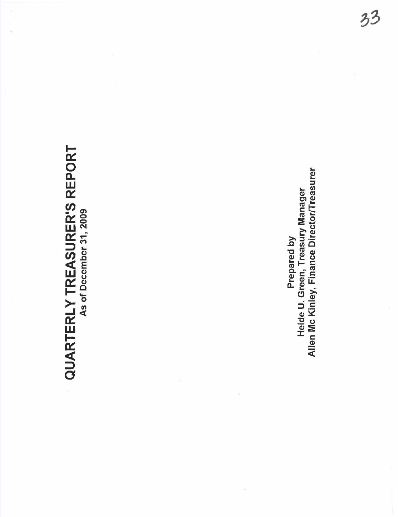# **QUARTERLY TREASURER'S REPORT** QUARTERLY TREASURER'S REPORT As of December 31, 2009

Allen Mc Kinley, Finance Director/Treasurer Allen Mc Kinley, Finance DirectorlTreasurer Prepared by<br>Heide U. Green, Treasury Manager Heide U. Green, Treasury Manager Prepared by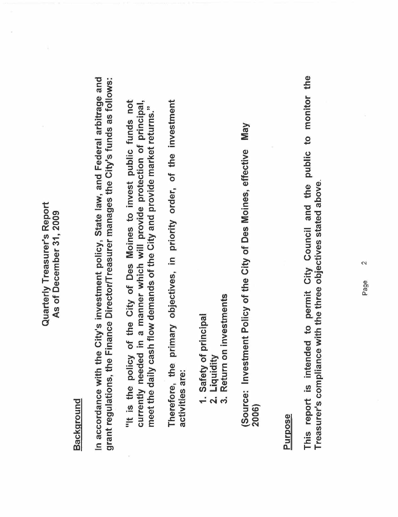#### Quarterly Treasurer's Report Quarterly Treasurer's Report As of December 31, 2009 As of December 31, 2009

# **Background**

In accordance with the City's investment policy, State law, and Federal arbitrage and grant regulations, the Finance Director/Treasurer manages the City's funds as follows: In accordance with the City's investment policy, State law, and Federal arbitrage and grant regulations, the Finance DirectorlTreasurer manages the City's funds as follows:

"It is the policy of the City of Des Moines to invest public funds not currently needed in a manner which will provide protection of principal, "It is the policy of the City of Des Moines to invest public funds not currently needed in a manner which will provide protection of principal, meet the daily cash flow demands of the City and provide market returns." meet the daily cash flow demands of the City and provide market returns."

Therefore, the primary objectives, in priority order, of the investment Therefore, the primary objectives, in priority order, of the investment activities are: activities are:

- 1. Safety of principal 1. Safety of principal
	- 2. Liquidity<br>3. Return on 2, Liquidity
- Return on investments 3. Return on investments

**May** (Source: Investment Policy of the City of Des Moines, effective May (Source: Investment Policy of the City of Des Moines, effective 2006)

#### Purpose

This report is intended to permit City Council and the public to monitor the This report is intended to permit City Council and the public to monitor the Treasurer's compliance with the three objectives stated above. Treasurer's compliance with the three objectives stated above.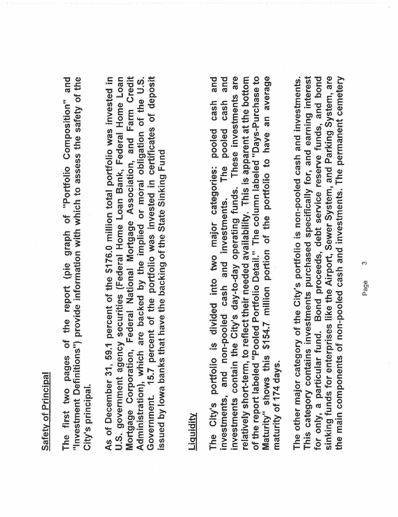### Safety of Principal Safety of Principal

The first two pages of the report (pie graph of "Portfolio Composition" and "Investment Definitions") provide information with which to assess the safety of the The first two pages of the report (pie graph of "Portfolio Composition" and "Investment Definitions") provide information with which to assess the safety of the City's principal City's principaL.

Government. 15.7 percent of the portfolio was invested in certificates of deposit As of December 31, 59.1 percent of the \$176.0 million total portfolio was invested in U.S. government agency securities (Federal Home Loan Bank, Federal Home Loan Mortgage Corporation, Federal National Mortgage Association, and Farm Credit Administration), which are backed by the implied or moral obligation of the U.S. Mortgage Corporation, Federal National Mortgage Association, and Farm Credit Government. 15.7 percent of the portolio was invested in certificates of deposit As of December 31, 59.1 percent of the \$176.0 million total portfolio was invested in U.S. government agency securities (Federal Home Loan Bank, Federal Home Loan Administration), which are backed by the implied or moral obligation of the U.S. issued by lowa banks that have the backing of the State Sinking Fund issued by Iowa banks that have the backing of the State Sinking Fund

#### LiQuiditv

investments contain the City's day-to-day operating funds. These investments are of the report labeled "Pooled Portfolio Detail." The column labeled "Days-Purchase to Maturity" shows this \$154.7 million portion of the portfolio to have an average and and relatively short-term, to reflect their needed availability. This is apparent at the bottom of the report labeled "Pooled Portolio DetaiL." The column labeled "Days-Purchase to Maturity" shows this \$154,7 million portion of the portolio to have an average The City's portolio is divided into two major categories: pooled cash and investments, and non-pooled cash and investments. The pooled cash and investments contain the City's day-to-day operating funds. These investments are relatively short-term, to reflect their needed availability. This is apparent at the bottom cash cash The City's portfolio is divided into two major categories: pooled The pooled investments, and non-pooled cash and investments. maturity of 174 days. maturity of 174 days,

This category contains investments purchased specifically for, and earning interest sinking funds for enterprises like the Airport, Sewer System, and Parking System, are The other major category of the City's portfolio is non-pooled cash and investments. for only, a particular fund. Bond proceeds, debt service reserve funds, and bond the main components of non-pooled cash and investments. The permanent cemetery This category contains investments purchased specifically for, and earning interest for only, a particular fund. Bond proceeds, debt service reserve funds, and bond sinking funds for enterprises like the Airport, Sewer System, and Parking System, are the main components of non-pooled cash and investments. The permanent cemetery The other major category of the City's portolio is non-pooled cash and investments.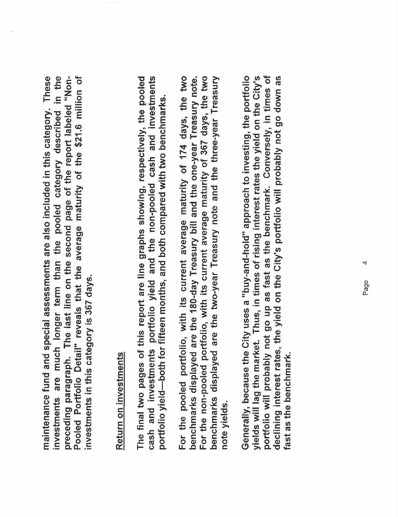These investments are much longer term than the pooled category described in the preceding paragraph. The last line on the second page of the report labeled "Non-Pooled Portfolio Detail" reveals that the average maturity of the \$21.6 million of preceding paragraph. The last line on the second page of the report labeled "Non-<br>Pooled Portfolio Detail" reveals that the average maturity of the \$21.6 million of maintenance fund and special assessments are also included in this category. These investments are much longer term than the pooled category described in the maintenance fund and special assessments are also included in this category. investments in this category is 367 days. investments in this category is 367 days.

# Return on investments Return on investments

The final two pages of this report are line graphs showing, respectively, the pooled cash and investments portfolio yield and the non-pooled cash and investments The final two pages of this report are line graphs showing, respectively, the pooled cash and investments portolio yield and the non-pooled cash and investments portfolio yield—both for fifteen months, and both compared with two benchmarks. portolio yield-both for fifteen months, and both compared with two benchmarks.

For the pooled portfolio, with its current average maturity of 174 days, the two For the non-pooled portfolio, with its current average maturity of 367 days, the two benchmarks displayed are the 180-day Treasury bill and the one-year Treasury note. benchmarks displayed are the two-year Treasury note and the three-year Treasury For the pooled portolio, with its current average maturity of 174 days, the two For the non-pooled portolio, with its current average maturity of 367 days, the two benchmarks displayed are the two-year Treasury note and the three-year Treasury benchmarks displayed are the 180-day Treasury bill and the one-year Treasury note. note yields,

portfolio will probably not go up as fast as the benchmark. Conversely, in times of Generally, because the City uses a "buy-and-hold" approach to investing, the portfolio yields will lag the market. Thus, in times of rising interest rates the yield on the City's declining interest rates, the yield on the City's portfolio will probably not go down as portolio will probably not go up as fast as the benchmark. Conversely, in times of Generally, because the City uses a "buy-and-hold" approach to investing, the portfolio yields will lag the market. Thus, in times of rising interest rates the yield on the City's declining interest rates, the yield on the City's portolio will probably not go down as fast as the benchmark. fast as the benchmark,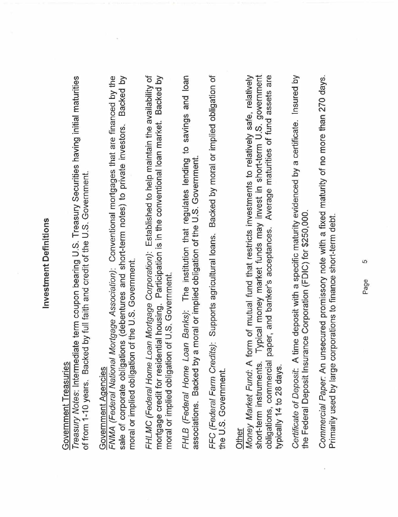# **Investment Definitions** Investment Definitions

# Government Treasuries Government Treasuries

Treasury Notes: Intermediate term coupon bearing U.S. Treasury Securities having initial maturities Treasury Notes: Intermediate term coupon bearing U,S, Treasury Securities having initial maturities of from 1-10 years. Backed by full faith and credit of the U.S. Government. of from 1-10 years, Backed by full faith and credit of the U,S, Government.

## Government Agencies Government Aqencies

FNMA (Federal National Mortgage Association): Conventional mortgages that are financed by the sale of corporate obligations (debentures and short-term notes) to private investors. Backed by sale of corporate obligations (debentures and short-term notes) to private investors, Backed by FNMA (Federal National Mortgage Association): Conventional mortgages that are financed by the moral or implied obligation of the U.S. Government. moral or implied obligation of the U ,S, Government.

FHLMC (Federal Home Loan Mortgage Corporation): Established to help maintain the availability of mortgage credit for residential housing. Participation is in the conventional loan market. Backed by FHLMC (Federal Home Loan Mortgage Corporation): Established to help maintain the availability of mortgage credit for residential housing. Participation is in the conventional loan market. Backed by moral or implied obligation of U.S. Government. moral or implied obligation of U,S, Government. FHLB (Federal Home Loan Banks): The institution that regulates lending to savings and loan FHLB (Federal Home Loan Banks): The institution that regulates lending to savings and loan associations. Backed by a moral or implied obligation of the U.S. Government. associations, Backed by a moral or implied obligation of the U,S. Government.

FFC (Federal Farm Credits): Supports agricultural loans. Backed by moral or implied obligation of FFC (Federal Farm Credits): Supports agricultural loans, Backed by moral or implied obligation of the U.S. Government. the U,S, Government.

obligations, commercial paper, and banker's acceptances. Average maturities of fund assets are Other<br>Money Market Fund: A form of mutual fund that restricts investments to relatively safe, relatively short-term instruments. Typical money market funds may invest in short-term U.S. government Money Market Fund: A form of mutual fund that restricts investments to relatively safe, relatively short-term instruments. Typical money market funds may invest in short-term U,S, government obligations, commercial paper, and banker's acceptances, Average maturities of fund assets are typically 14 to 28 days. typically 14 to 28 days.

Certificate of Deposit: A time deposit with a specific maturity evidenced by a certificate. Insured by Certificate of Deposit: A time deposit with a specific maturity evidenced by a certificate, Insured by the Federal Deposit Insurance Corporation (FDIC) for \$250,000. the Federal Deposit Insurance Corporation (FDIC) for \$250,000,

Commercial Paper. An unsecured promissory note with a fixed maturity of no more than 270 days. Commercial Paper: An unsecured promissory note with a fixed maturity of no more than 270 days, Primarily used by large corporations to finance short-term debt. Primarily used by large corporations to finance short-term debt.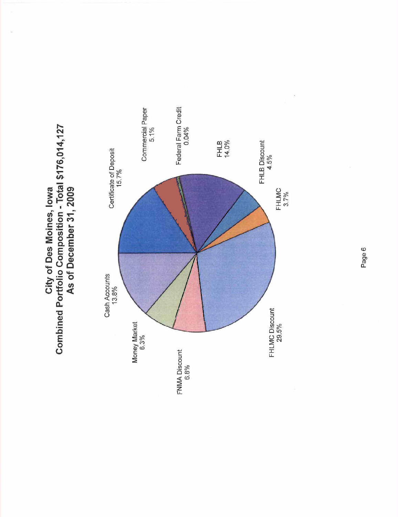



Page 6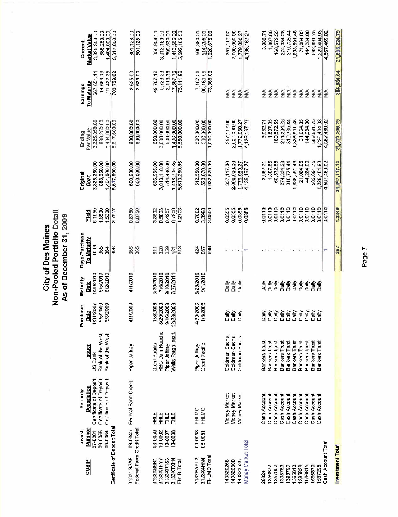|                                                           |                                                   |                                                                                                              |                                                                 |                                                          |                                                       | As of December 31, 2009                                  |                                      |                                                                |                                                                   |                                                                        |                                                              |
|-----------------------------------------------------------|---------------------------------------------------|--------------------------------------------------------------------------------------------------------------|-----------------------------------------------------------------|----------------------------------------------------------|-------------------------------------------------------|----------------------------------------------------------|--------------------------------------|----------------------------------------------------------------|-------------------------------------------------------------------|------------------------------------------------------------------------|--------------------------------------------------------------|
| <b>CUSIP</b>                                              | Number<br>Invest<br>09-0064<br>07-0081<br>09-0055 | Certificate of Deposit<br>Certificate of Deposit<br><b>Certificate of Deposit</b><br>Description<br>Security | Bank of the West<br>Bank of the West<br><b>SSUer</b><br>US Bank | 1/31/2007<br>6/3/2009<br>5/5/2009<br>rchase<br>Date<br>a | 1/29/2010<br>5/5/2010<br>6/2/2010<br>Maturity<br>Date | Days-Purchase<br><u>To Maturity</u><br>1004<br>365<br>डू | 1.6500<br>5.1950<br>1,5300<br>Yield  | 3,325,350.00<br>888,250.00<br>1,404,000.00<br>Original<br>Cost | 1,404,000.00<br>3,325,350.00<br>888 250.00<br>Par Value<br>Ending | 14,656.13<br>21,422.35<br>667,651.14<br><u>To Maturity</u><br>Earnings | 888,250.00<br>3,325,350.00<br><b>Market Value</b><br>Current |
| Certificate of Deposit Total                              |                                                   |                                                                                                              |                                                                 |                                                          |                                                       | 608                                                      | 2.7917                               | 5,617,600.00                                                   | 5,617,600.00                                                      | 703.729.62                                                             | 1,404,000.00                                                 |
| Feceral Farm Credit Total<br>31331GSA8                    | 09-0045                                           | Federal Farm Credit                                                                                          | Piper Jaffray                                                   | 4/1/2009                                                 | 4/1/2010                                              | 365<br>365                                               | 0.8750<br>0.8750                     | 600,000.00<br>600.000.00                                       | 600,000.00<br>600,000.00                                          | 2.625.00<br>2,625.00                                                   | 601,128.00<br>601,128.00                                     |
| 3133XRT83<br>3133XB6R1<br>3133XTFY7                       | 0500-80<br>10-0002<br>10-007                      | <b>FHLB</b><br><b>FHLB</b><br>FHLB                                                                           | RBC Dain Rauche<br>Great Pacific<br>Piper Jaffray               | 1/8/2008<br>8/20/2009<br>9/16/2009                       | 9/10/2010<br>3/29/2010<br>7/6/2010                    | 359<br>320<br>811                                        | 0.5003<br>3.3802<br>0.4207           | 666,965.00<br>3,013,110.00<br>514,480.00                       | 3,000,000.00<br>650,000.00                                        | 5,723.33<br>49,707.12                                                  | 3,012,180.00<br>656,909.50                                   |
| 3133XTXH4<br>FHLB Total                                   | 10-0038                                           | <b>FHLB</b>                                                                                                  | Wells Fargo Instit.                                             | 12/23/2009                                               | 7/27/2011                                             | 518<br>581                                               | 0.7800<br>1,2703                     | 1,418,705.85<br>5,613,260.85                                   | 1,400,000.00<br>500,000.00<br>5,550,000.00                        | 2.113.75<br>17,567.76<br>75,111.96                                     | 1,413,566.00<br>5,592,185.50<br>509,530.00                   |
| FHLMC Tota<br>3137EABL2<br>3128X4HN4                      | 09-0053<br>08-0051                                | FHLMC<br>FHLMC                                                                                               | Great Pacific<br>Piper Jaffray                                  | 4/30/2009<br>1/8/2008                                    | 6/28/2010<br>9/1/2010                                 | 424<br>696<br>967                                        | 0.7002<br>3.3998<br>2.0500           | 512,550.00<br>520,070.00<br>1.032.620.00                       | 500,000.00<br>500,000.00<br>1,000,000.00                          | 66,180.56<br>7,187.50<br>73,368.06                                     | 1,020,675.00<br>514 295.00<br>506,380.00                     |
| Money Market Total<br>140320300<br>140320268<br>140323536 |                                                   | Money Market<br>Money Market<br>Money Market                                                                 | Goldman Sachs<br>Goldman Sachs<br>Goldman Sachs                 | Daily<br>Dally<br>Daily                                  | Daily<br>Daily<br>Daily                               |                                                          | 0.0355<br>0.0355<br>0.0355<br>0.0355 | 357,117.00<br>2,000,000.00<br>1,779 050.27<br>4.136.167.27     | 357,117.00<br>2,000,000.00<br>1,779,050.27<br>4,136,167.27        | $\frac{4}{2}$<br>≸<br>≨ો≨                                              | 2,000,000.00<br>357,117.00<br>1.779.050.27<br>4,136,167.27   |
| 26824                                                     |                                                   | Cash Account                                                                                                 | Bankers Trust                                                   | Daily                                                    | γilis⊂                                                |                                                          | 0.0110                               | 3,982.71                                                       | 3,982.71                                                          | ≸                                                                      | 3,982.71                                                     |
| 1356872<br>1357052                                        |                                                   | Cash Account<br>Cash Account                                                                                 | <b>Bankers Trust</b><br>Bankers Trust                           | Daily<br>Daily                                           | Daily<br>Daily                                        |                                                          | 0.0110<br>0.0110                     | 1,807.85<br>160,572.55                                         | 1,807.85<br>160,572.55                                            | ≸<br>₹                                                                 | ,807.85<br>160,572.55                                        |
| 1395763<br>1395797                                        |                                                   | Cash Account<br>Cash Account                                                                                 | <b>Bankers Trust</b><br>Bankers Trust                           | Daily<br>Daily                                           | Daily<br>Daily                                        |                                                          | 0.0110<br>0.0110                     | 274,334.28<br>310,735.44                                       | 274.334.28<br>310,735.44                                          | NA<br><b>SE</b>                                                        | 274,334.28<br>310,735.44                                     |
| 1395839<br>1395813                                        |                                                   | Cash Account<br>Cash Account                                                                                 | <b>Bankers Trust</b><br><b>Bankers Trust</b>                    | Daily<br>Dally                                           | Daily<br>Daily                                        |                                                          | 0.0110<br>0.0110                     | 838,591.46<br>21,064.05                                        | 1,838,591.46                                                      | ΝA                                                                     | 1,838,591.46                                                 |
| 1586815                                                   |                                                   | Cash Account                                                                                                 | <b>Bankers Trust</b>                                            | Daily                                                    | Daily                                                 |                                                          | 0.0110                               | 144 284.00                                                     | 21.064.05<br>144,284.00                                           | $\frac{4}{2}$<br>$\frac{4}{5}$                                         | 21,064.05<br>144,284.00                                      |
| 1566879<br>1567298                                        |                                                   | Cash Account<br>Cash Account                                                                                 | Bankers Trust<br>Bankers Trust                                  | Daily<br>Daily                                           | Daily<br>Daily                                        |                                                          | 0.0110<br>0.0110                     | 582,691.75<br>1,229,404.93                                     | 582,691.75<br>229.404.93                                          | $\leq$<br>$\frac{1}{2}$                                                | 582,691.75<br>1,229,404.93                                   |
| Cash Account Total                                        |                                                   |                                                                                                              |                                                                 |                                                          |                                                       |                                                          | 0.0110                               | 4,567,469.02                                                   | 4,567,469.02                                                      | ŠÃ                                                                     | 4,567,469.02                                                 |
| Investment Total                                          |                                                   |                                                                                                              |                                                                 |                                                          |                                                       | 367                                                      | 1.3349                               | 21.587,117.14                                                  | 21,471,236.29                                                     | 854,834.64                                                             | 21,535,224.79                                                |

**City of Des Moines<br>Non-Pooled Portfolio Detail** Non-Pooled Portfolio Detail City of Des Moines

Page 7